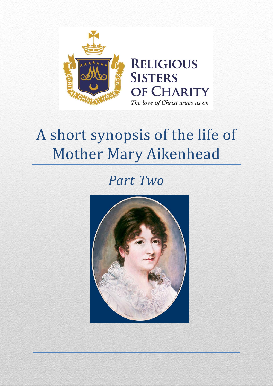

# A short synopsis of the life of Mother Mary Aikenhead

# *Part Two*

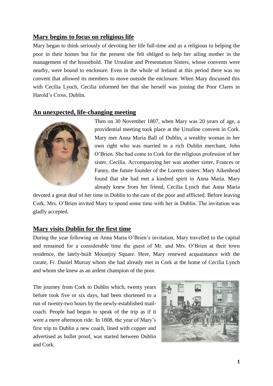# **Mary begins to focus on religious life**

Mary began to think seriously of devoting her life full-time and as a religious to helping the poor in their homes but for the present she felt obliged to help her ailing mother in the management of the household. The Ursuline and Presentation Sisters, whose convents were nearby, were bound to enclosure. Even in the whole of Ireland at this period there was no convent that allowed its members to move outside the enclosure. When Mary discussed this with Cecilia Lynch, Cecilia informed her that she herself was joining the Poor Clares in Harold's Cross, Dublin.

#### **An unexpected, life-changing meeting**



Then on 30 November 1807, when Mary was 20 years of age, a providential meeting took place at the Ursuline convent in Cork. Mary met Anna Maria Ball of Dublin, a wealthy woman in her own right who was married to a rich Dublin merchant, John O'Brien. She had come to Cork for the religious profession of her sister, Cecilia. Accompanying her was another sister, Frances or Fanny, the future founder of the Loretto sisters. Mary Aikenhead found that she had met a kindred spirit in Anna Maria. Mary already knew from her friend, Cecilia Lynch that Anna Maria

devoted a great deal of her time in Dublin to the care of the poor and afflicted. Before leaving Cork, Mrs. O'Brien invited Mary to spend some time with her in Dublin. The invitation was gladly accepted.

# **Mary visits Dublin for the first time**

During the year following on Anna Maria O'Brien's invitation, Mary travelled to the capital and remained for a considerable time the guest of Mr. and Mrs. O'Brien at their town residence, the lately-built Mountjoy Square. Here, Mary renewed acquaintance with the curate, Fr. Daniel Murray whom she had already met in Cork at the home of Cecilia Lynch and whom she knew as an ardent champion of the poor.

The journey from Cork to Dublin which, twenty years before took five or six days, had been shortened to a run of twenty-two hours by the newly-established mailcoach. People had begun to speak of the trip as if it were a mere afternoon ride. In 1808, the year of Mary's first trip to Dublin a new coach, lined with copper and advertised as bullet proof, was started between Dublin and Cork.

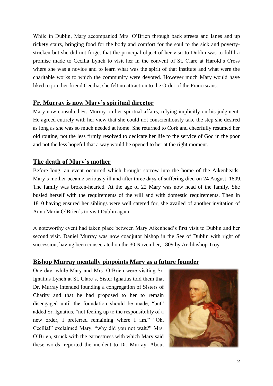While in Dublin, Mary accompanied Mrs. O'Brien through back streets and lanes and up rickety stairs, bringing food for the body and comfort for the soul to the sick and povertystricken but she did not forget that the principal object of her visit to Dublin was to fulfil a promise made to Cecilia Lynch to visit her in the convent of St. Clare at Harold's Cross where she was a novice and to learn what was the spirit of that institute and what were the charitable works to which the community were devoted. However much Mary would have liked to join her friend Cecilia, she felt no attraction to the Order of the Franciscans.

# **Fr. Murray is now Mary's spiritual director**

Mary now consulted Fr. Murray on her spiritual affairs, relying implicitly on his judgment. He agreed entirely with her view that she could not conscientiously take the step she desired as long as she was so much needed at home. She returned to Cork and cheerfully resumed her old routine, not the less firmly resolved to dedicate her life to the service of God in the poor and not the less hopeful that a way would be opened to her at the right moment.

# **The death of Mary's mother**

Before long, an event occurred which brought sorrow into the home of the Aikenheads. Mary's mother became seriously ill and after three days of suffering died on 24 August, 1809. The family was broken-hearted. At the age of 22 Mary was now head of the family. She busied herself with the requirements of the will and with domestic requirements. Then in 1810 having ensured her siblings were well catered for, she availed of another invitation of Anna Maria O'Brien's to visit Dublin again.

A noteworthy event had taken place between Mary Aikenhead's first visit to Dublin and her second visit. Daniel Murray was now coadjutor bishop in the See of Dublin with right of succession, having been consecrated on the 30 November, 1809 by Archbishop Troy.

# **Bishop Murray mentally pinpoints Mary as a future founder**

One day, while Mary and Mrs. O'Brien were visiting Sr. Ignatius Lynch at St. Clare's, Sister Ignatius told them that Dr. Murray intended founding a congregation of Sisters of Charity and that he had proposed to her to remain disengaged until the foundation should be made, "but" added Sr. Ignatius, "not feeling up to the responsibility of a new order, I preferred remaining where I am." "Oh, Cecilia!" exclaimed Mary, "why did you not wait?" Mrs. O'Brien, struck with the earnestness with which Mary said these words, reported the incident to Dr. Murray. About

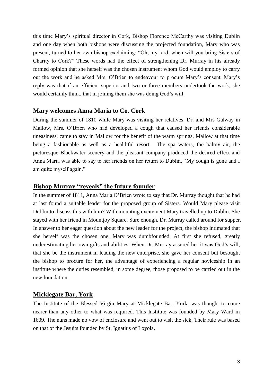this time Mary's spiritual director in Cork, Bishop Florence McCarthy was visiting Dublin and one day when both bishops were discussing the projected foundation, Mary who was present, turned to her own bishop exclaiming: "Oh, my lord, when will you bring Sisters of Charity to Cork?" These words had the effect of strengthening Dr. Murray in his already formed opinion that she herself was the chosen instrument whom God would employ to carry out the work and he asked Mrs. O'Brien to endeavour to procure Mary's consent. Mary's reply was that if an efficient superior and two or three members undertook the work, she would certainly think, that in joining them she was doing God's will.

#### **Mary welcomes Anna Maria to Co. Cork**

During the summer of 1810 while Mary was visiting her relatives, Dr. and Mrs Galway in Mallow, Mrs. O'Brien who had developed a cough that caused her friends considerable uneasiness, came to stay in Mallow for the benefit of the warm springs, Mallow at that time being a fashionable as well as a healthful resort. The spa waters, the balmy air, the picturesque Blackwater scenery and the pleasant company produced the desired effect and Anna Maria was able to say to her friends on her return to Dublin, "My cough is gone and I am quite myself again."

#### **Bishop Murray "reveals" the future founder**

In the summer of 1811, Anna Maria O'Brien wrote to say that Dr. Murray thought that he had at last found a suitable leader for the proposed group of Sisters. Would Mary please visit Dublin to discuss this with him? With mounting excitement Mary travelled up to Dublin. She stayed with her friend in Mountjoy Square. Sure enough, Dr. Murray called around for supper. In answer to her eager question about the new leader for the project, the bishop intimated that she herself was the chosen one. Mary was dumbfounded. At first she refused, greatly underestimating her own gifts and abilities. When Dr. Murray assured her it was God's will, that she be the instrument in leading the new enterprise, she gave her consent but besought the bishop to procure for her, the advantage of experiencing a regular noviceship in an institute where the duties resembled, in some degree, those proposed to be carried out in the new foundation.

#### **Micklegate Bar, York**

The Institute of the Blessed Virgin Mary at Micklegate Bar, York, was thought to come nearer than any other to what was required. This Institute was founded by Mary Ward in 1609. The nuns made no vow of enclosure and went out to visit the sick. Their rule was based on that of the Jesuits founded by St. Ignatius of Loyola.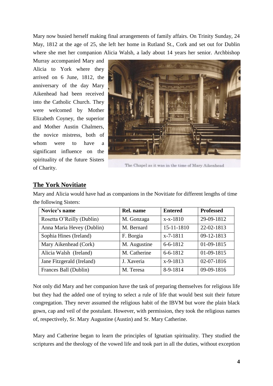Mary now busied herself making final arrangements of family affairs. On Trinity Sunday, 24 May, 1812 at the age of 25, she left her home in Rutland St., Cork and set out for Dublin where she met her companion Alicia Walsh, a lady about 14 years her senior. Archbishop

Murray accompanied Mary and Alicia to York where they arrived on 6 June, 1812, the anniversary of the day Mary Aikenhead had been received into the Catholic Church. They were welcomed by Mother Elizabeth Coyney, the superior and Mother Austin Chalmers, the novice mistress, both of whom were to have a significant influence on the spirituality of the future Sisters of Charity.



The Chapel as it was in the time of Mary Aikenhead

#### **The York Novitiate**

Mary and Alicia would have had as companions in the Novitiate for different lengths of time the following Sisters:

| Novice's name             | Rel. name    | <b>Entered</b> | <b>Professed</b> |
|---------------------------|--------------|----------------|------------------|
| Rosetta O'Reilly (Dublin) | M. Gonzaga   | $x-x-1810$     | 29-09-1812       |
| Anna Maria Hevey (Dublin) | M. Bernard   | 15-11-1810     | 22-02-1813       |
| Sophia Hines (Ireland)    | F. Borgia    | $x-7-1811$     | 09-12-1813       |
| Mary Aikenhead (Cork)     | M. Augustine | $6 - 6 - 1812$ | 01-09-1815       |
| Alicia Walsh (Ireland)    | M. Catherine | $6 - 6 - 1812$ | 01-09-1815       |
| Jane Fitzgerald (Ireland) | J. Xaveria   | $x-9-1813$     | 02-07-1816       |
| Frances Ball (Dublin)     | M. Teresa    | 8-9-1814       | 09-09-1816       |

Not only did Mary and her companion have the task of preparing themselves for religious life but they had the added one of trying to select a rule of life that would best suit their future congregation. They never assumed the religious habit of the IBVM but wore the plain black gown, cap and veil of the postulant. However, with permission, they took the religious names of, respectively, Sr. Mary Augustine (Austin) and Sr. Mary Catherine.

Mary and Catherine began to learn the principles of Ignatian spirituality. They studied the scriptures and the theology of the vowed life and took part in all the duties, without exception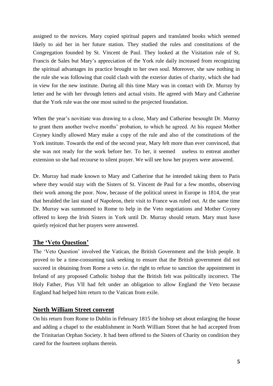assigned to the novices. Mary copied spiritual papers and translated books which seemed likely to aid her in her future station. They studied the rules and constitutions of the Congregation founded by St. Vincent de Paul. They looked at the Visitation rule of St. Francis de Sales but Mary's appreciation of the York rule daily increased from recognizing the spiritual advantages its practice brought to her own soul. Moreover, she saw nothing in the rule she was following that could clash with the exterior duties of charity, which she had in view for the new institute. During all this time Mary was in contact with Dr. Murray by letter and he with her through letters and actual visits. He agreed with Mary and Catherine that the York rule was the one most suited to the projected foundation.

When the year's novitiate was drawing to a close, Mary and Catherine besought Dr. Murray to grant them another twelve months' probation, to which he agreed. At his request Mother Coyney kindly allowed Mary make a copy of the rule and also of the constitutions of the York institute. Towards the end of the second year, Mary felt more than ever convinced, that she was not ready for the work before her. To her, it seemed useless to entreat another extension so she had recourse to silent prayer. We will see how her prayers were answered.

Dr. Murray had made known to Mary and Catherine that he intended taking them to Paris where they would stay with the Sisters of St. Vincent de Paul for a few months, observing their work among the poor. Now, because of the political unrest in Europe in 1814, the year that heralded the last stand of Napoleon, their visit to France was ruled out. At the same time Dr. Murray was summoned to Rome to help in the Veto negotiations and Mother Coyney offered to keep the Irish Sisters in York until Dr. Murray should return. Mary must have quietly rejoiced that her prayers were answered.

#### **The 'Veto Question'**

The 'Veto Question' involved the Vatican, the British Government and the Irish people. It proved to be a time-consuming task seeking to ensure that the British government did not succeed in obtaining from Rome a veto i.e. the right to refuse to sanction the appointment in Ireland of any proposed Catholic bishop that the British felt was politically incorrect. The Holy Father, Pius VII had felt under an obligation to allow England the Veto because England had helped him return to the Vatican from exile.

#### **North William Street convent**

On his return from Rome to Dublin in February 1815 the bishop set about enlarging the house and adding a chapel to the establishment in North William Street that he had accepted from the Trinitarian Orphan Society. It had been offered to the Sisters of Charity on condition they cared for the fourteen orphans therein.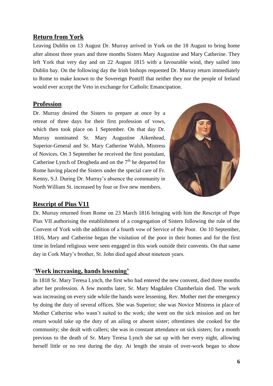# **Return from York**

Leaving Dublin on 13 August Dr. Murray arrived in York on the 18 August to bring home after almost three years and three months Sisters Mary Augustine and Mary Catherine. They left York that very day and on 22 August 1815 with a favourable wind, they sailed into Dublin bay. On the following day the Irish bishops requested Dr. Murray return immediately to Rome to make known to the Sovereign Pontiff that neither they nor the people of Ireland would ever accept the Veto in exchange for Catholic Emancipation.

#### **Profession**

Dr. Murray desired the Sisters to prepare at once by a retreat of three days for their first profession of vows, which then took place on 1 September. On that day Dr. Murray nominated Sr. Mary Augustine Aikenhead, Superior-General and Sr. Mary Catherine Walsh, Mistress of Novices. On 3 September he received the first postulant, Catherine Lynch of Drogheda and on the  $7<sup>th</sup>$  he departed for Rome having placed the Sisters under the special care of Fr. Kenny, S.J. During Dr. Murray's absence the community in North William St. increased by four or five new members.



#### **Rescript of Pius V11**

Dr. Murray returned from Rome on 23 March 1816 bringing with him the Rescript of Pope Pius VII authorising the establishment of a congregation of Sisters following the rule of the Convent of York with the addition of a fourth vow of Service of the Poor. On 10 September, 1816, Mary and Catherine began the visitation of the poor in their homes and for the first time in Ireland religious were seen engaged in this work outside their convents. On that same day in Cork Mary's brother, St. John died aged about nineteen years.

#### '**Work increasing, hands lessening'**

In 1818 Sr. Mary Teresa Lynch, the first who had entered the new convent, died three months after her profession. A few months later, Sr. Mary Magdalen Chamberlain died. The work was increasing on every side while the hands were lessening. Rev. Mother met the emergency by doing the duty of several offices. She was Superior; she was Novice Mistress in place of Mother Catherine who wasn't suited to the work; she went on the sick mission and on her return would take up the duty of an ailing or absent sister; oftentimes she cooked for the community; she dealt with callers; she was in constant attendance on sick sisters; for a month previous to the death of Sr. Mary Teresa Lynch she sat up with her every night, allowing herself little or no rest during the day. At length the strain of over-work began to show